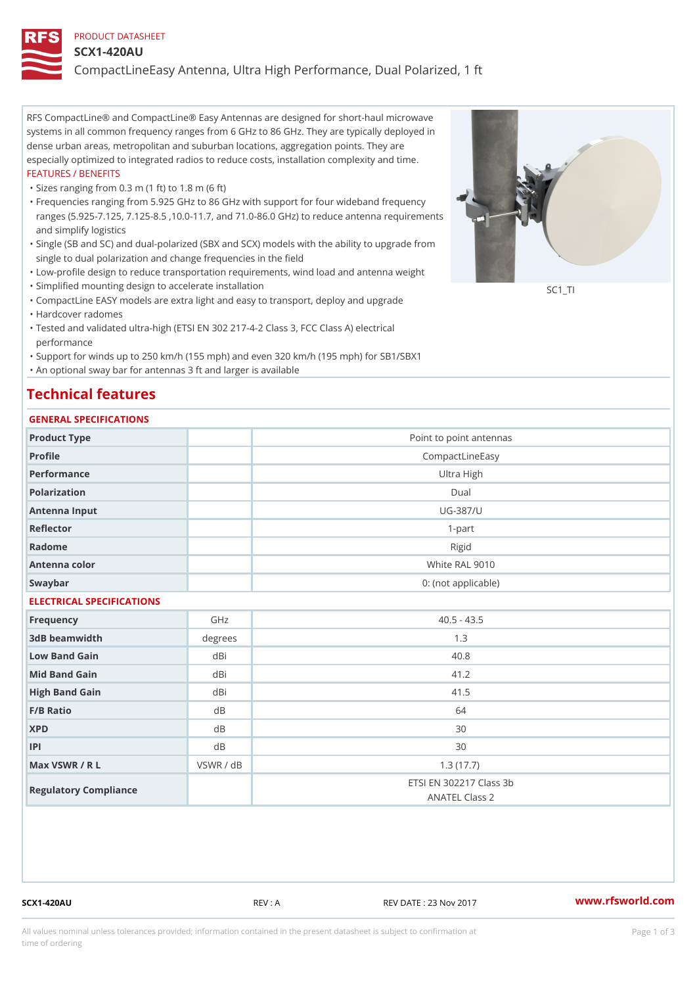### PRODUCT DATASHEET

#### SCX1-420AU

CompactLineEasy Antenna, Ultra High Performance, Dual Polarized, 1 ft

RFS CompactLine® and CompactLine® Easy Antennas are designed for short-haul microwave systems in all common frequency ranges from 6 GHz to 86 GHz. They are typically deployed in dense urban areas, metropolitan and suburban locations, aggregation points. They are especially optimized to integrated radios to reduce costs, installation complexity and time. FEATURES / BENEFITS

"Sizes ranging from 0.3 m (1 ft) to 1.8 m (6 ft)

- Frequencies ranging from 5.925 GHz to 86 GHz with support for four wideband frequency " ranges (5.925-7.125, 7.125-8.5 ,10.0-11.7, and 71.0-86.0 GHz) to reduce antenna requirements and simplify logistics
- Single (SB and SC) and dual-polarized (SBX and SCX) models with the ability to upgrade from " single to dual polarization and change frequencies in the field
- "Low-profile design to reduce transportation requirements, wind load and antenna weight
- "Simplified mounting design to accelerate installation

 "CompactLine EASY models are extra light and easy to transport, deploy and upgrade "Hardcover radomes

Tested and validated ultra-high (ETSI EN 302 217-4-2 Class 3, FCC Class A) electrical " performance

 "Support for winds up to 250 km/h (155 mph) and even 320 km/h (195 mph) for SB1/SBX1 "An optional sway bar for antennas 3 ft and larger is available

## Technical features

## GENERAL SPECIFICATIONS

| OLIVERAL OF LOTITOATIONS  |           |                                           |  |  |  |
|---------------------------|-----------|-------------------------------------------|--|--|--|
| Product Type              |           | Point to point antennas                   |  |  |  |
| Profile                   |           | CompactLineEasy                           |  |  |  |
| Performance               |           | Ultra High                                |  |  |  |
| Polarization              |           | Dual                                      |  |  |  |
| Antenna Input             |           | $UG - 387/U$                              |  |  |  |
| Reflector                 |           | $1 - p$ art                               |  |  |  |
| Radome                    |           | Rigid                                     |  |  |  |
| Antenna color             |           | White RAL 9010                            |  |  |  |
| Swaybar                   |           | 0: (not applicable)                       |  |  |  |
| ELECTRICAL SPECIFICATIONS |           |                                           |  |  |  |
| Frequency                 | GHz       | $40.5 - 43.5$                             |  |  |  |
| 3dB beamwidth             | degrees   | 1.3                                       |  |  |  |
| Low Band Gain             | dBi       | 40.8                                      |  |  |  |
| Mid Band Gain             | dBi       | 41.2                                      |  |  |  |
| High Band Gain            | dBi       | 41.5                                      |  |  |  |
| F/B Ratio                 | d B       | 64                                        |  |  |  |
| <b>XPD</b>                | d B       | 30                                        |  |  |  |
| P                         | d B       | 30                                        |  |  |  |
| Max VSWR / R L            | VSWR / dB | 1.3(17.7)                                 |  |  |  |
| Regulatory Compliance     |           | ETSI EN 302217 Class 3b<br>ANATEL Class 2 |  |  |  |

SCX1-420AU REV : A REV DATE : 23 Nov 2017 [www.](https://www.rfsworld.com)rfsworld.com

SC<sub>1</sub>TI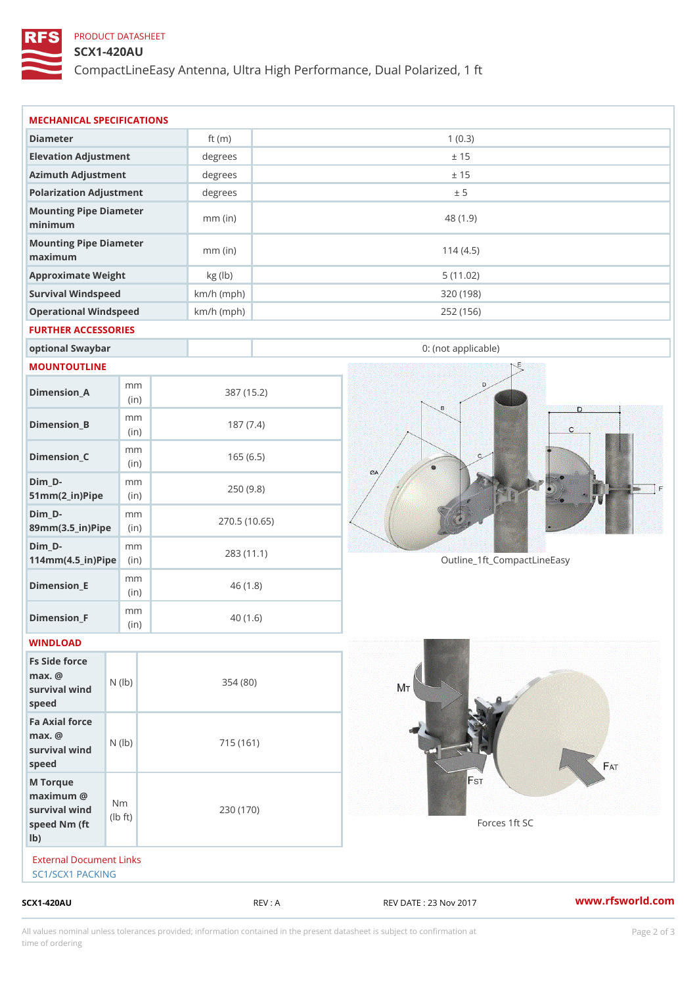## PRODUCT DATASHEET

## SCX1-420AU

CompactLineEasy Antenna, Ultra High Performance, Dual Polarized, 1 ft

| $SCX1 - 420AU$                                                     |                                   |                            | REV : A    | REV DATE : 23 Nov 2017      | www.rfsworld.co |
|--------------------------------------------------------------------|-----------------------------------|----------------------------|------------|-----------------------------|-----------------|
| External Document Links<br>SC1/SCX1 PACKING                        |                                   |                            |            |                             |                 |
| M Torque<br>$maximum$ @<br>survival wind<br>speed Nm (ft<br>$1b$ ) | N <sub>m</sub><br>$\pm$ t)<br>l b | 230 (170)                  |            | Forces 1ft SC               |                 |
| Fa Axial force<br>$max.$ @<br>survival wind (1b)<br>speed          |                                   | 715 (161)                  |            |                             |                 |
| Fs Side force<br>$max.$ @<br>survival wind (1b)<br>speed           |                                   | 354(80)                    |            |                             |                 |
| WINDLOAD                                                           |                                   |                            |            |                             |                 |
| $Dimension_F$                                                      | m m<br>(in)                       | 40(1.6)                    |            |                             |                 |
| $Dimension$ _ $E$                                                  | m m<br>(in)                       | 46(1.8)                    |            |                             |                 |
| $Dim_D - D -$<br>$114$ m m (4.5 _ ir ) $\sqrt{$ ii p $\sqrt{ }$    | m m                               | 270.5(10.65)<br>283 (11.1) |            | Outline_1ft_CompactLineEasy |                 |
| $Dim_D - D -$<br>89mm (3.5_in) Pi(pine)                            | m m                               |                            |            |                             |                 |
| $Dim_D -$<br>$51mm(2_in)Pip@in$                                    | m m                               | 250(9.8)                   |            |                             |                 |
| $Dimension_C$                                                      | m m<br>(in)                       | 165(6.5)                   |            |                             |                 |
| $Dimension_B$                                                      | m m<br>(in)                       | 187(7.4)                   |            |                             |                 |
| $Dimension_A$                                                      | m m<br>(in)                       |                            | 387 (15.2) |                             |                 |
| MOUNTOUTLINE                                                       |                                   |                            |            |                             |                 |
| optional Swaybar                                                   |                                   |                            |            | 0: (not applicable)         |                 |
| FURTHER ACCESSORIES                                                |                                   |                            |            |                             |                 |
| Operational Windspeed                                              |                                   | $km/h$ (mph)               |            | 252 (156)                   |                 |
| Survival Windspeed                                                 |                                   | $km/h$ (mph)               |            | 320 (198)                   |                 |
| maximum<br>Approximate Weight                                      |                                   | $mm$ (in)<br>kg (lb)       |            | 114(4.5)<br>5(11.02)        |                 |
| minimum<br>Mounting Pipe Diameter                                  |                                   | $mm$ (in)                  |            | 48 (1.9)                    |                 |
| Polarization Adjustment<br>Mounting Pipe Diameter                  |                                   | degrees                    |            | ± 5                         |                 |
| Azimuth Adjustment                                                 |                                   | degrees                    |            | ± 15                        |                 |
| Elevation Adjustment                                               |                                   | degrees                    |            | ± 15                        |                 |
|                                                                    |                                   | ft $(m)$                   |            |                             |                 |
| Diameter                                                           |                                   |                            |            | 1(0.3)                      |                 |

All values nominal unless tolerances provided; information contained in the present datasheet is subject to Pcapgelio an atio time of ordering